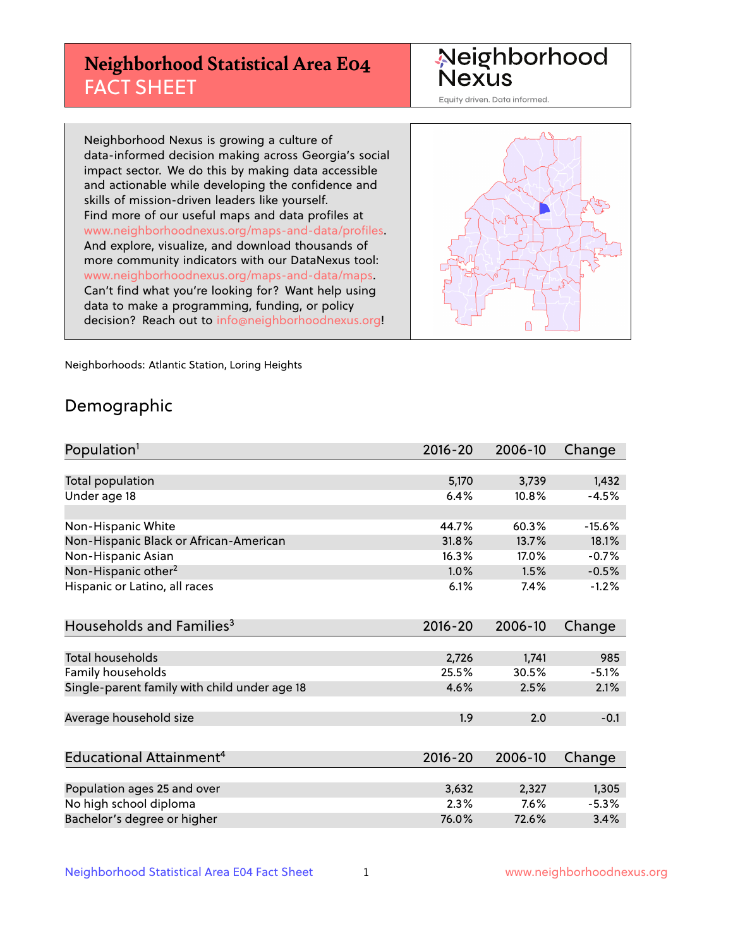# **Neighborhood Statistical Area E04** FACT SHEET

Neighborhood Nexus

Equity driven. Data informed.

Neighborhood Nexus is growing a culture of data-informed decision making across Georgia's social impact sector. We do this by making data accessible and actionable while developing the confidence and skills of mission-driven leaders like yourself. Find more of our useful maps and data profiles at www.neighborhoodnexus.org/maps-and-data/profiles. And explore, visualize, and download thousands of more community indicators with our DataNexus tool: www.neighborhoodnexus.org/maps-and-data/maps. Can't find what you're looking for? Want help using data to make a programming, funding, or policy decision? Reach out to [info@neighborhoodnexus.org!](mailto:info@neighborhoodnexus.org)



Neighborhoods: Atlantic Station, Loring Heights

### Demographic

| Population <sup>1</sup>                      | $2016 - 20$ | 2006-10 | Change   |
|----------------------------------------------|-------------|---------|----------|
|                                              |             |         |          |
| Total population                             | 5,170       | 3,739   | 1,432    |
| Under age 18                                 | 6.4%        | 10.8%   | $-4.5%$  |
|                                              |             |         |          |
| Non-Hispanic White                           | 44.7%       | 60.3%   | $-15.6%$ |
| Non-Hispanic Black or African-American       | 31.8%       | 13.7%   | 18.1%    |
| Non-Hispanic Asian                           | 16.3%       | 17.0%   | $-0.7%$  |
| Non-Hispanic other <sup>2</sup>              | 1.0%        | 1.5%    | $-0.5%$  |
| Hispanic or Latino, all races                | 6.1%        | 7.4%    | $-1.2%$  |
|                                              |             |         |          |
| Households and Families <sup>3</sup>         | $2016 - 20$ | 2006-10 | Change   |
|                                              |             |         |          |
| <b>Total households</b>                      | 2,726       | 1,741   | 985      |
| Family households                            | 25.5%       | 30.5%   | $-5.1%$  |
| Single-parent family with child under age 18 | 4.6%        | 2.5%    | 2.1%     |
| Average household size                       | 1.9         | 2.0     | $-0.1$   |
|                                              |             |         |          |
| Educational Attainment <sup>4</sup>          | $2016 - 20$ | 2006-10 | Change   |
|                                              |             |         |          |
| Population ages 25 and over                  | 3,632       | 2,327   | 1,305    |
| No high school diploma                       | 2.3%        | 7.6%    | $-5.3%$  |
| Bachelor's degree or higher                  | 76.0%       | 72.6%   | 3.4%     |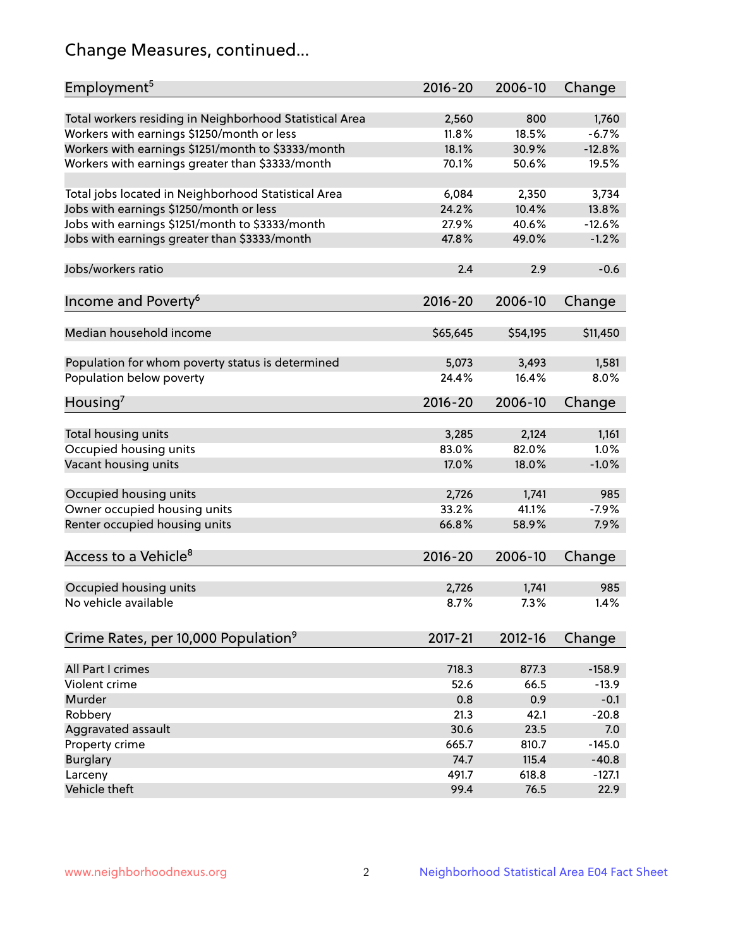# Change Measures, continued...

| Employment <sup>5</sup>                                 | $2016 - 20$ | 2006-10     | Change   |
|---------------------------------------------------------|-------------|-------------|----------|
| Total workers residing in Neighborhood Statistical Area | 2,560       | 800         | 1,760    |
| Workers with earnings \$1250/month or less              | 11.8%       | 18.5%       | $-6.7%$  |
| Workers with earnings \$1251/month to \$3333/month      | 18.1%       | 30.9%       | $-12.8%$ |
| Workers with earnings greater than \$3333/month         | 70.1%       | 50.6%       | 19.5%    |
|                                                         |             |             |          |
| Total jobs located in Neighborhood Statistical Area     | 6,084       | 2,350       | 3,734    |
| Jobs with earnings \$1250/month or less                 | 24.2%       | 10.4%       | 13.8%    |
| Jobs with earnings \$1251/month to \$3333/month         | 27.9%       | 40.6%       | $-12.6%$ |
| Jobs with earnings greater than \$3333/month            | 47.8%       | 49.0%       | $-1.2%$  |
|                                                         |             |             |          |
| Jobs/workers ratio                                      | 2.4         | 2.9         | $-0.6$   |
|                                                         |             |             |          |
| Income and Poverty <sup>6</sup>                         | $2016 - 20$ | 2006-10     | Change   |
|                                                         |             |             |          |
| Median household income                                 | \$65,645    | \$54,195    | \$11,450 |
|                                                         |             |             |          |
| Population for whom poverty status is determined        | 5,073       | 3,493       | 1,581    |
| Population below poverty                                | 24.4%       | 16.4%       | 8.0%     |
|                                                         |             |             |          |
| Housing <sup>7</sup>                                    | $2016 - 20$ | 2006-10     | Change   |
|                                                         |             |             |          |
| Total housing units                                     | 3,285       | 2,124       | 1,161    |
| Occupied housing units                                  | 83.0%       | 82.0%       | 1.0%     |
| Vacant housing units                                    | 17.0%       | 18.0%       | $-1.0%$  |
|                                                         |             |             |          |
| Occupied housing units                                  | 2,726       | 1,741       | 985      |
| Owner occupied housing units                            | 33.2%       | 41.1%       | $-7.9%$  |
| Renter occupied housing units                           | 66.8%       | 58.9%       | 7.9%     |
|                                                         |             |             |          |
| Access to a Vehicle <sup>8</sup>                        | $2016 - 20$ | 2006-10     | Change   |
|                                                         |             |             |          |
| Occupied housing units                                  | 2,726       | 1,741       | 985      |
| No vehicle available                                    | 8.7%        | 7.3%        | 1.4%     |
|                                                         |             |             |          |
| Crime Rates, per 10,000 Population <sup>9</sup>         | 2017-21     | $2012 - 16$ | Change   |
|                                                         |             |             |          |
| All Part I crimes                                       | 718.3       | 877.3       | $-158.9$ |
| Violent crime                                           | 52.6        | 66.5        | $-13.9$  |
| Murder                                                  | 0.8         | 0.9         | $-0.1$   |
| Robbery                                                 | 21.3        | 42.1        | $-20.8$  |
| Aggravated assault                                      | 30.6        | 23.5        | 7.0      |
| Property crime                                          | 665.7       | 810.7       | $-145.0$ |
| <b>Burglary</b>                                         | 74.7        | 115.4       | $-40.8$  |
| Larceny                                                 | 491.7       | 618.8       | $-127.1$ |
| Vehicle theft                                           | 99.4        | 76.5        | 22.9     |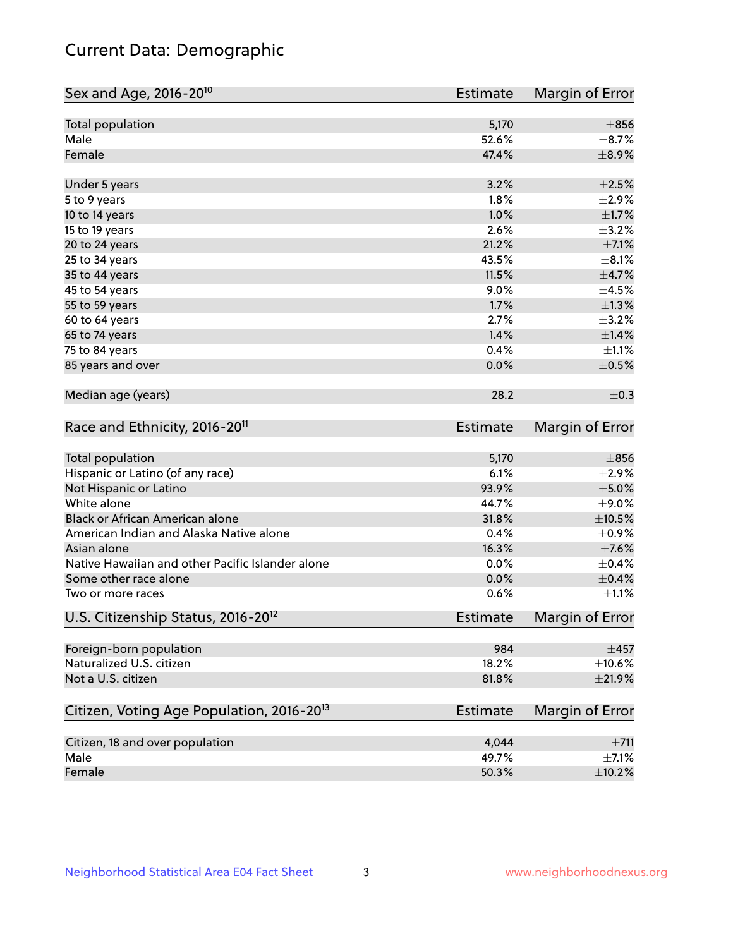# Current Data: Demographic

| Sex and Age, 2016-20 <sup>10</sup>                    | <b>Estimate</b> | Margin of Error |
|-------------------------------------------------------|-----------------|-----------------|
| Total population                                      | 5,170           | $\pm 856$       |
| Male                                                  | 52.6%           | $\pm$ 8.7%      |
| Female                                                | 47.4%           | $\pm$ 8.9%      |
| Under 5 years                                         | 3.2%            | $\pm 2.5\%$     |
| 5 to 9 years                                          | 1.8%            | $\pm 2.9\%$     |
| 10 to 14 years                                        | 1.0%            | $\pm 1.7\%$     |
| 15 to 19 years                                        | 2.6%            | $\pm$ 3.2%      |
| 20 to 24 years                                        | 21.2%           | $\pm$ 7.1%      |
| 25 to 34 years                                        | 43.5%           | $\pm$ 8.1%      |
| 35 to 44 years                                        | 11.5%           | $\pm$ 4.7%      |
| 45 to 54 years                                        | 9.0%            | $\pm$ 4.5%      |
| 55 to 59 years                                        | 1.7%            | $\pm 1.3\%$     |
| 60 to 64 years                                        | 2.7%            | $\pm$ 3.2%      |
| 65 to 74 years                                        | 1.4%            | ±1.4%           |
| 75 to 84 years                                        | 0.4%            | $\pm 1.1\%$     |
| 85 years and over                                     | 0.0%            | $\pm$ 0.5%      |
| Median age (years)                                    | 28.2            | $\pm$ 0.3       |
| Race and Ethnicity, 2016-20 <sup>11</sup>             | <b>Estimate</b> | Margin of Error |
| Total population                                      | 5,170           | $\pm$ 856       |
| Hispanic or Latino (of any race)                      | 6.1%            | $\pm 2.9\%$     |
| Not Hispanic or Latino                                | 93.9%           | $\pm$ 5.0%      |
| White alone                                           | 44.7%           | $\pm$ 9.0%      |
| Black or African American alone                       | 31.8%           | $\pm 10.5\%$    |
| American Indian and Alaska Native alone               | 0.4%            | $\pm$ 0.9%      |
| Asian alone                                           | 16.3%           | $\pm$ 7.6%      |
| Native Hawaiian and other Pacific Islander alone      | 0.0%            | $\pm$ 0.4%      |
| Some other race alone                                 | 0.0%            | $\pm$ 0.4%      |
| Two or more races                                     | 0.6%            | $\pm 1.1\%$     |
| U.S. Citizenship Status, 2016-20 <sup>12</sup>        | <b>Estimate</b> | Margin of Error |
| Foreign-born population                               | 984             | $\pm$ 457       |
| Naturalized U.S. citizen                              | 18.2%           | $\pm 10.6\%$    |
| Not a U.S. citizen                                    | 81.8%           | $\pm 21.9\%$    |
| Citizen, Voting Age Population, 2016-20 <sup>13</sup> | <b>Estimate</b> | Margin of Error |
| Citizen, 18 and over population                       | 4,044           | ±711            |
| Male                                                  | 49.7%           | $\pm$ 7.1%      |
| Female                                                | 50.3%           | $\pm$ 10.2%     |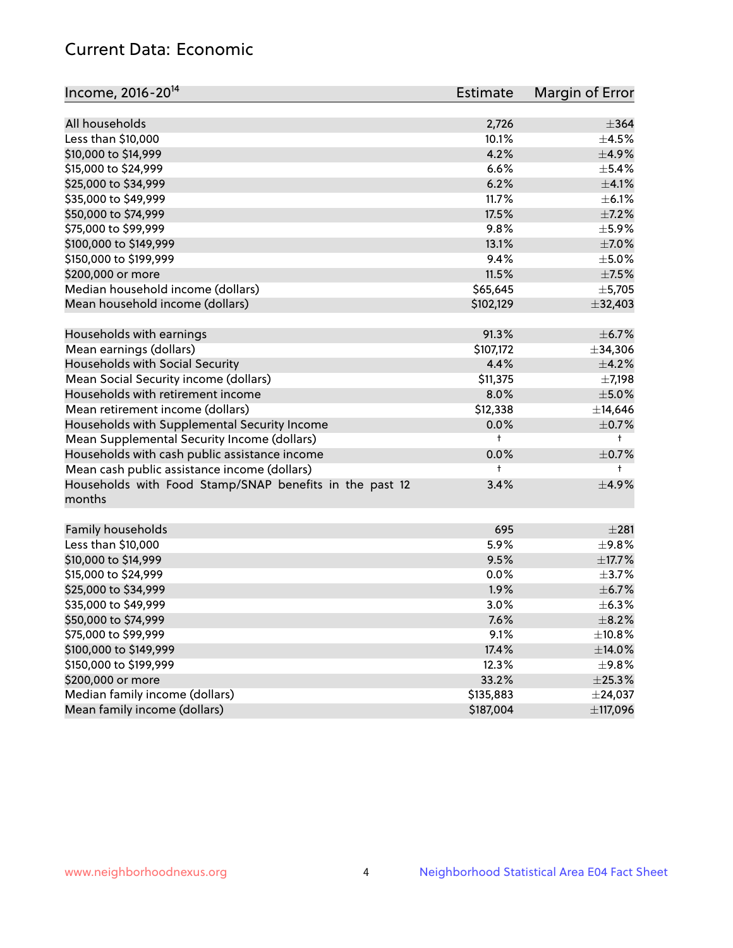# Current Data: Economic

| Income, 2016-20 <sup>14</sup>                                     | <b>Estimate</b> | Margin of Error |
|-------------------------------------------------------------------|-----------------|-----------------|
| All households                                                    |                 | $\pm$ 364       |
| Less than \$10,000                                                | 2,726<br>10.1%  | $\pm$ 4.5%      |
|                                                                   | 4.2%            | $\pm$ 4.9%      |
| \$10,000 to \$14,999<br>\$15,000 to \$24,999                      |                 | $\pm$ 5.4%      |
|                                                                   | 6.6%            |                 |
| \$25,000 to \$34,999                                              | 6.2%            | $\pm$ 4.1%      |
| \$35,000 to \$49,999                                              | 11.7%           | $\pm$ 6.1%      |
| \$50,000 to \$74,999                                              | 17.5%           | $\pm$ 7.2%      |
| \$75,000 to \$99,999                                              | 9.8%            | ±5.9%           |
| \$100,000 to \$149,999                                            | 13.1%           | $\pm$ 7.0%      |
| \$150,000 to \$199,999                                            | 9.4%            | $\pm$ 5.0%      |
| \$200,000 or more                                                 | 11.5%           | $\pm$ 7.5%      |
| Median household income (dollars)                                 | \$65,645        | $\pm$ 5,705     |
| Mean household income (dollars)                                   | \$102,129       | ±32,403         |
| Households with earnings                                          | 91.3%           | $\pm$ 6.7%      |
| Mean earnings (dollars)                                           | \$107,172       | ±34,306         |
| Households with Social Security                                   | 4.4%            | $\pm$ 4.2%      |
| Mean Social Security income (dollars)                             | \$11,375        | $\pm$ 7,198     |
| Households with retirement income                                 | 8.0%            | $\pm$ 5.0%      |
| Mean retirement income (dollars)                                  | \$12,338        | ±14,646         |
| Households with Supplemental Security Income                      | 0.0%            | $\pm$ 0.7%      |
| Mean Supplemental Security Income (dollars)                       | t               | $^{\dagger}$    |
| Households with cash public assistance income                     | 0.0%            | $\pm$ 0.7%      |
| Mean cash public assistance income (dollars)                      | t               | $^{\dagger}$    |
| Households with Food Stamp/SNAP benefits in the past 12<br>months | 3.4%            | $\pm$ 4.9%      |
| Family households                                                 | 695             | ±281            |
| Less than \$10,000                                                | 5.9%            | $\pm$ 9.8%      |
| \$10,000 to \$14,999                                              | 9.5%            | $\pm$ 17.7%     |
| \$15,000 to \$24,999                                              | 0.0%            | $\pm$ 3.7%      |
| \$25,000 to \$34,999                                              | 1.9%            | $\pm$ 6.7%      |
| \$35,000 to \$49,999                                              | 3.0%            | ±6.3%           |
| \$50,000 to \$74,999                                              | 7.6%            | $\pm$ 8.2%      |
| \$75,000 to \$99,999                                              | 9.1%            | ±10.8%          |
| \$100,000 to \$149,999                                            | 17.4%           | $\pm$ 14.0%     |
| \$150,000 to \$199,999                                            | 12.3%           | ±9.8%           |
| \$200,000 or more                                                 | 33.2%           | $\pm 25.3\%$    |
| Median family income (dollars)                                    | \$135,883       | $±$ 24,037      |
| Mean family income (dollars)                                      | \$187,004       | ±117,096        |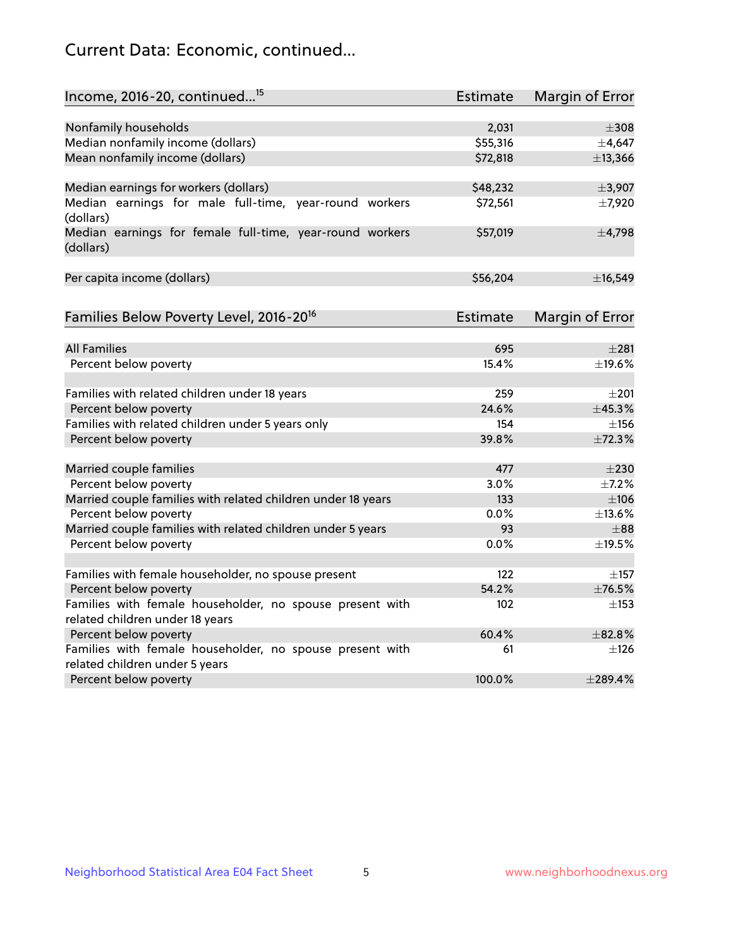# Current Data: Economic, continued...

| Income, 2016-20, continued <sup>15</sup>                                                    | <b>Estimate</b> | Margin of Error        |
|---------------------------------------------------------------------------------------------|-----------------|------------------------|
|                                                                                             |                 |                        |
| Nonfamily households                                                                        | 2,031           | $\pm 308$              |
| Median nonfamily income (dollars)                                                           | \$55,316        | ±4,647                 |
| Mean nonfamily income (dollars)                                                             | \$72,818        | ±13,366                |
| Median earnings for workers (dollars)                                                       | \$48,232        | ±3,907                 |
| Median earnings for male full-time, year-round workers<br>(dollars)                         | \$72,561        | ±7,920                 |
| Median earnings for female full-time, year-round workers<br>(dollars)                       | \$57,019        | $\pm$ 4,798            |
| Per capita income (dollars)                                                                 | \$56,204        | ±16,549                |
| Families Below Poverty Level, 2016-20 <sup>16</sup>                                         | <b>Estimate</b> | <b>Margin of Error</b> |
|                                                                                             |                 |                        |
| <b>All Families</b>                                                                         | 695             | $\pm 281$              |
| Percent below poverty                                                                       | 15.4%           | ±19.6%                 |
| Families with related children under 18 years                                               | 259             | $\pm 201$              |
| Percent below poverty                                                                       | 24.6%           | ±45.3%                 |
| Families with related children under 5 years only                                           | 154             | $\pm$ 156              |
| Percent below poverty                                                                       | 39.8%           | ±72.3%                 |
| Married couple families                                                                     | 477             | $\pm 230$              |
| Percent below poverty                                                                       | 3.0%            | $\pm$ 7.2%             |
| Married couple families with related children under 18 years                                | 133             | $\pm 106$              |
| Percent below poverty                                                                       | $0.0\%$         | ±13.6%                 |
| Married couple families with related children under 5 years                                 | 93              | $\pm$ 88               |
| Percent below poverty                                                                       | 0.0%            | ±19.5%                 |
|                                                                                             |                 |                        |
| Families with female householder, no spouse present                                         | 122             | $\pm$ 157              |
| Percent below poverty                                                                       | 54.2%           | ±76.5%                 |
| Families with female householder, no spouse present with<br>related children under 18 years | 102             | $\pm$ 153              |
| Percent below poverty                                                                       | 60.4%           | ±82.8%                 |
|                                                                                             | 61              | $\pm$ 126              |
| Families with female householder, no spouse present with<br>related children under 5 years  |                 |                        |
| Percent below poverty                                                                       | 100.0%          | $±$ 289.4%             |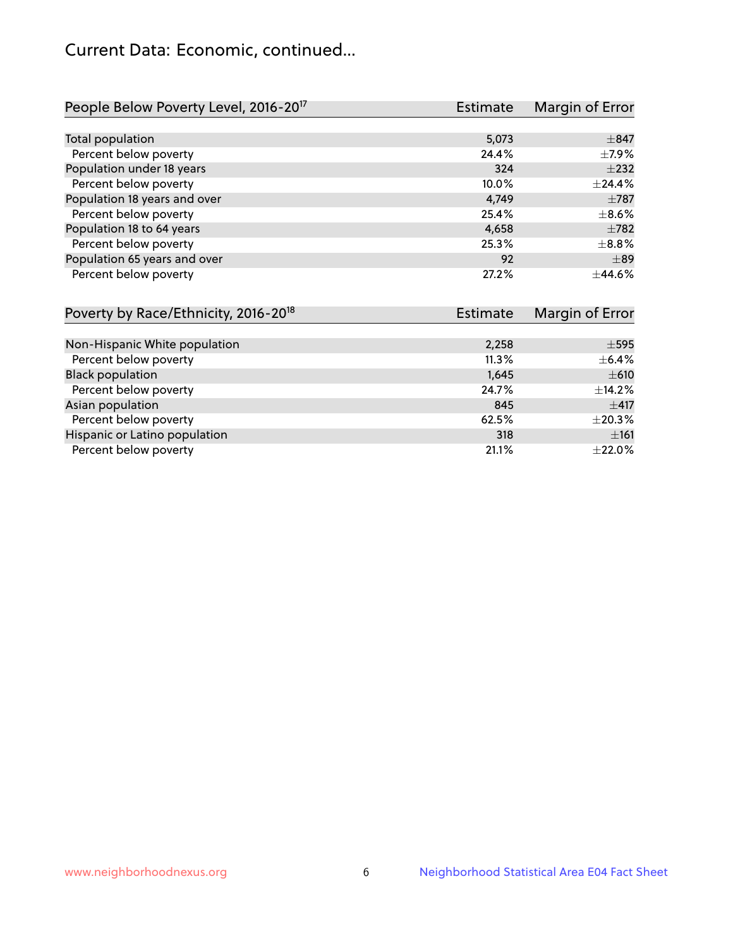# Current Data: Economic, continued...

| People Below Poverty Level, 2016-20 <sup>17</sup> | <b>Estimate</b> | Margin of Error |
|---------------------------------------------------|-----------------|-----------------|
|                                                   |                 |                 |
| Total population                                  | 5,073           | $\pm$ 847       |
| Percent below poverty                             | 24.4%           | $\pm$ 7.9%      |
| Population under 18 years                         | 324             | $\pm 232$       |
| Percent below poverty                             | 10.0%           | ±24.4%          |
| Population 18 years and over                      | 4.749           | $\pm 787$       |
| Percent below poverty                             | 25.4%           | $\pm$ 8.6%      |
| Population 18 to 64 years                         | 4,658           | $\pm 782$       |
| Percent below poverty                             | 25.3%           | $\pm$ 8.8%      |
| Population 65 years and over                      | 92              | $\pm$ 89        |
| Percent below poverty                             | 27.2%           | ±44.6%          |

| Poverty by Race/Ethnicity, 2016-20 <sup>18</sup> | <b>Estimate</b> | Margin of Error |
|--------------------------------------------------|-----------------|-----------------|
|                                                  |                 |                 |
| Non-Hispanic White population                    | 2,258           | $\pm$ 595       |
| Percent below poverty                            | 11.3%           | $\pm$ 6.4%      |
| <b>Black population</b>                          | 1,645           | $\pm 610$       |
| Percent below poverty                            | 24.7%           | $\pm$ 14.2%     |
| Asian population                                 | 845             | $\pm$ 417       |
| Percent below poverty                            | 62.5%           | $\pm 20.3\%$    |
| Hispanic or Latino population                    | 318             | ±161            |
| Percent below poverty                            | 21.1%           | $\pm 22.0\%$    |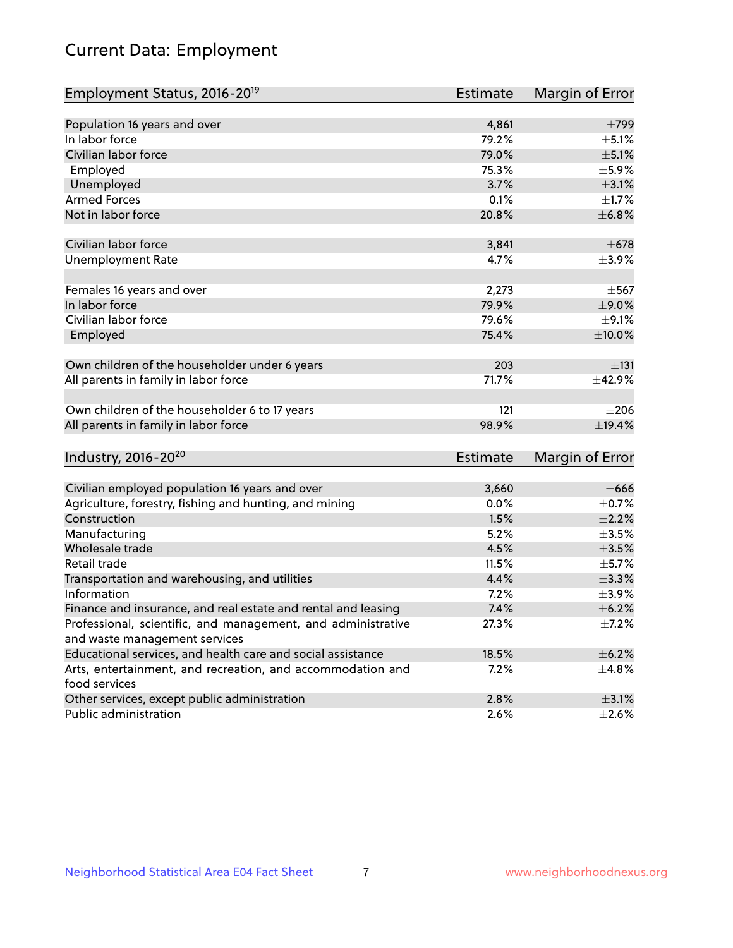# Current Data: Employment

| Employment Status, 2016-20 <sup>19</sup>                                    | <b>Estimate</b> | Margin of Error |
|-----------------------------------------------------------------------------|-----------------|-----------------|
|                                                                             |                 |                 |
| Population 16 years and over                                                | 4,861           | $\pm 799$       |
| In labor force                                                              | 79.2%           | $\pm$ 5.1%      |
| Civilian labor force                                                        | 79.0%           | $\pm$ 5.1%      |
| Employed                                                                    | 75.3%           | $\pm$ 5.9%      |
| Unemployed                                                                  | 3.7%            | $\pm$ 3.1%      |
| <b>Armed Forces</b>                                                         | 0.1%            | $\pm1.7\%$      |
| Not in labor force                                                          | 20.8%           | ±6.8%           |
| Civilian labor force                                                        | 3,841           | $\pm 678$       |
| <b>Unemployment Rate</b>                                                    | 4.7%            | $\pm$ 3.9%      |
|                                                                             |                 |                 |
| Females 16 years and over                                                   | 2,273           | $\pm$ 567       |
| In labor force                                                              | 79.9%           | $\pm$ 9.0%      |
| Civilian labor force                                                        | 79.6%           | $\pm$ 9.1%      |
| Employed                                                                    | 75.4%           | $\pm 10.0\%$    |
|                                                                             |                 |                 |
| Own children of the householder under 6 years                               | 203             | ±131            |
| All parents in family in labor force                                        | 71.7%           | ±42.9%          |
| Own children of the householder 6 to 17 years                               | 121             | $\pm 206$       |
| All parents in family in labor force                                        | 98.9%           | ±19.4%          |
|                                                                             |                 |                 |
| Industry, 2016-20 <sup>20</sup>                                             | <b>Estimate</b> | Margin of Error |
|                                                                             |                 |                 |
| Civilian employed population 16 years and over                              | 3,660           | $\pm 666$       |
| Agriculture, forestry, fishing and hunting, and mining                      | 0.0%            | $\pm$ 0.7%      |
| Construction                                                                | 1.5%            | $\pm 2.2\%$     |
| Manufacturing                                                               | 5.2%            | $\pm$ 3.5%      |
| Wholesale trade                                                             | 4.5%            | $\pm$ 3.5%      |
| Retail trade                                                                | 11.5%           | $\pm$ 5.7%      |
| Transportation and warehousing, and utilities                               | 4.4%            | $\pm$ 3.3%      |
| Information                                                                 | 7.2%            | $\pm$ 3.9%      |
| Finance and insurance, and real estate and rental and leasing               | 7.4%            | $\pm$ 6.2%      |
| Professional, scientific, and management, and administrative                | 27.3%           | $\pm$ 7.2%      |
| and waste management services                                               |                 |                 |
| Educational services, and health care and social assistance                 | 18.5%           | $\pm$ 6.2%      |
| Arts, entertainment, and recreation, and accommodation and<br>food services | $7.2\%$         | $\pm$ 4.8%      |
| Other services, except public administration                                | 2.8%            | $\pm$ 3.1%      |
| Public administration                                                       | 2.6%            | $\pm 2.6\%$     |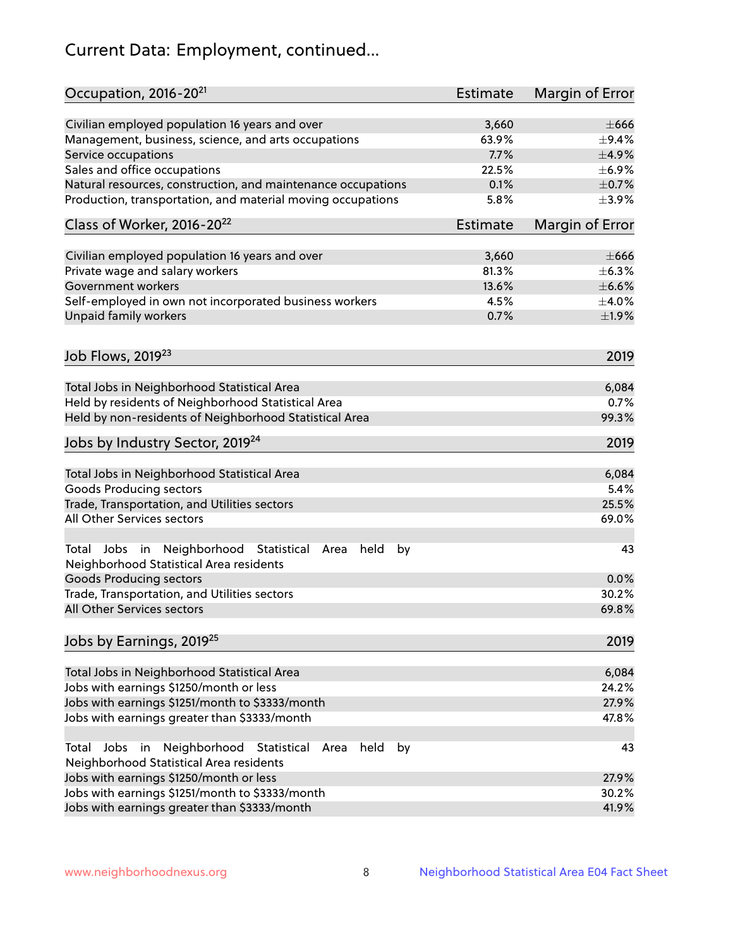# Current Data: Employment, continued...

| Occupation, 2016-20 <sup>21</sup>                                     | <b>Estimate</b> | Margin of Error |
|-----------------------------------------------------------------------|-----------------|-----------------|
| Civilian employed population 16 years and over                        | 3,660           | $\pm 666$       |
| Management, business, science, and arts occupations                   | 63.9%           | $\pm$ 9.4%      |
| Service occupations                                                   | 7.7%            | $\pm$ 4.9%      |
| Sales and office occupations                                          | 22.5%           | $\pm$ 6.9%      |
| Natural resources, construction, and maintenance occupations          | 0.1%            | $\pm$ 0.7%      |
| Production, transportation, and material moving occupations           | 5.8%            | $\pm$ 3.9%      |
| Class of Worker, 2016-20 <sup>22</sup>                                | Estimate        | Margin of Error |
| Civilian employed population 16 years and over                        | 3,660           | $\pm 666$       |
| Private wage and salary workers                                       | 81.3%           | $\pm$ 6.3%      |
| Government workers                                                    | 13.6%           | $\pm$ 6.6%      |
| Self-employed in own not incorporated business workers                | 4.5%            | $\pm$ 4.0%      |
| Unpaid family workers                                                 | 0.7%            | $\pm$ 1.9%      |
|                                                                       |                 |                 |
| Job Flows, 2019 <sup>23</sup>                                         |                 | 2019            |
| Total Jobs in Neighborhood Statistical Area                           |                 | 6,084           |
| Held by residents of Neighborhood Statistical Area                    |                 | 0.7%            |
| Held by non-residents of Neighborhood Statistical Area                |                 | 99.3%           |
| Jobs by Industry Sector, 2019 <sup>24</sup>                           |                 | 2019            |
| Total Jobs in Neighborhood Statistical Area                           |                 | 6,084           |
| <b>Goods Producing sectors</b>                                        |                 | 5.4%            |
| Trade, Transportation, and Utilities sectors                          |                 | 25.5%           |
| All Other Services sectors                                            |                 | 69.0%           |
| Total Jobs in Neighborhood Statistical<br>held<br>by<br>Area          |                 | 43              |
| Neighborhood Statistical Area residents                               |                 |                 |
| <b>Goods Producing sectors</b>                                        |                 | 0.0%            |
| Trade, Transportation, and Utilities sectors                          |                 | 30.2%           |
| All Other Services sectors                                            |                 | 69.8%           |
| Jobs by Earnings, 2019 <sup>25</sup>                                  |                 | 2019            |
| Total Jobs in Neighborhood Statistical Area                           |                 | 6,084           |
| Jobs with earnings \$1250/month or less                               |                 | 24.2%           |
| Jobs with earnings \$1251/month to \$3333/month                       |                 | 27.9%           |
| Jobs with earnings greater than \$3333/month                          |                 | 47.8%           |
| Neighborhood Statistical<br>Jobs<br>in<br>Area<br>held<br>by<br>Total |                 | 43              |
| Neighborhood Statistical Area residents                               |                 |                 |
| Jobs with earnings \$1250/month or less                               |                 | 27.9%           |
| Jobs with earnings \$1251/month to \$3333/month                       |                 | 30.2%           |
| Jobs with earnings greater than \$3333/month                          |                 | 41.9%           |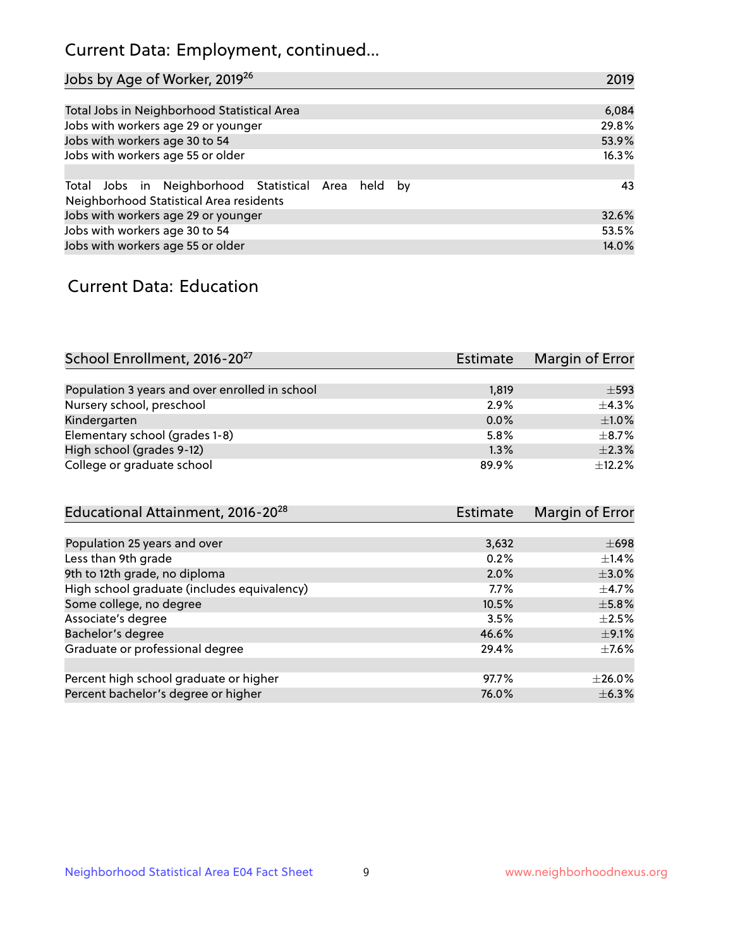# Current Data: Employment, continued...

| Jobs by Age of Worker, 2019 <sup>26</sup>                                                      | 2019  |
|------------------------------------------------------------------------------------------------|-------|
|                                                                                                |       |
| Total Jobs in Neighborhood Statistical Area                                                    | 6,084 |
| Jobs with workers age 29 or younger                                                            | 29.8% |
| Jobs with workers age 30 to 54                                                                 | 53.9% |
| Jobs with workers age 55 or older                                                              | 16.3% |
|                                                                                                |       |
| Total Jobs in Neighborhood Statistical Area held by<br>Neighborhood Statistical Area residents | 43    |
| Jobs with workers age 29 or younger                                                            | 32.6% |
| Jobs with workers age 30 to 54                                                                 | 53.5% |
| Jobs with workers age 55 or older                                                              | 14.0% |

### Current Data: Education

| School Enrollment, 2016-20 <sup>27</sup>       | <b>Estimate</b> | Margin of Error |
|------------------------------------------------|-----------------|-----------------|
|                                                |                 |                 |
| Population 3 years and over enrolled in school | 1,819           | $\pm$ 593       |
| Nursery school, preschool                      | 2.9%            | $+4.3%$         |
| Kindergarten                                   | 0.0%            | $\pm$ 1.0%      |
| Elementary school (grades 1-8)                 | 5.8%            | $\pm$ 8.7%      |
| High school (grades 9-12)                      | 1.3%            | $\pm 2.3\%$     |
| College or graduate school                     | 89.9%           | ±12.2%          |

| Educational Attainment, 2016-20 <sup>28</sup> | <b>Estimate</b> | Margin of Error |
|-----------------------------------------------|-----------------|-----------------|
|                                               |                 |                 |
| Population 25 years and over                  | 3,632           | $\pm 698$       |
| Less than 9th grade                           | 0.2%            | $\pm$ 1.4%      |
| 9th to 12th grade, no diploma                 | 2.0%            | $\pm 3.0\%$     |
| High school graduate (includes equivalency)   | $7.7\%$         | $\pm$ 4.7%      |
| Some college, no degree                       | 10.5%           | $\pm$ 5.8%      |
| Associate's degree                            | 3.5%            | $\pm 2.5\%$     |
| Bachelor's degree                             | 46.6%           | $\pm$ 9.1%      |
| Graduate or professional degree               | 29.4%           | $\pm$ 7.6%      |
|                                               |                 |                 |
| Percent high school graduate or higher        | 97.7%           | $+26.0%$        |
| Percent bachelor's degree or higher           | 76.0%           | $\pm$ 6.3%      |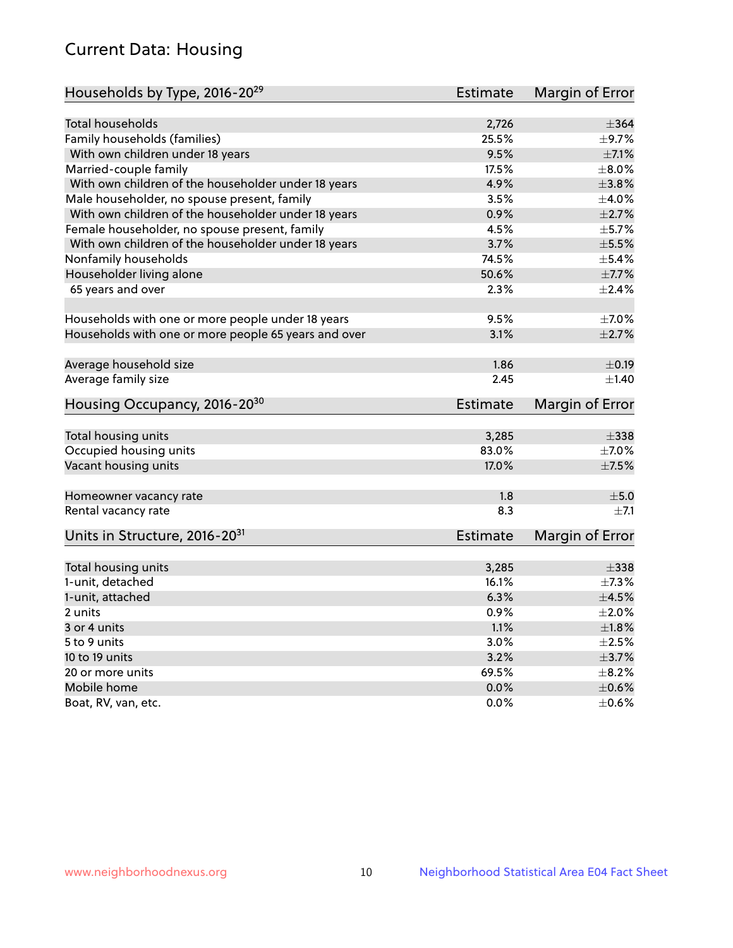# Current Data: Housing

| <b>Total households</b><br>2,726<br>$\pm$ 364<br>Family households (families)<br>25.5%<br>With own children under 18 years<br>9.5%<br>$\pm$ 7.1%<br>17.5%<br>$\pm$ 8.0%<br>Married-couple family<br>4.9%<br>$\pm 3.8\%$<br>With own children of the householder under 18 years<br>3.5%<br>Male householder, no spouse present, family<br>$\pm$ 4.0%<br>With own children of the householder under 18 years<br>0.9%<br>$\pm 2.7\%$<br>4.5%<br>Female householder, no spouse present, family<br>$\pm$ 5.7%<br>With own children of the householder under 18 years<br>3.7%<br>$\pm$ 5.5%<br>Nonfamily households<br>74.5%<br>$\pm$ 5.4%<br>50.6%<br>Householder living alone<br>65 years and over<br>2.3%<br>$\pm 2.4\%$<br>9.5%<br>Households with one or more people under 18 years<br>$\pm$ 7.0%<br>Households with one or more people 65 years and over<br>3.1%<br>$\pm 2.7\%$<br>1.86<br>Average household size<br>$\pm$ 0.19<br>Average family size<br>2.45<br>Housing Occupancy, 2016-20 <sup>30</sup><br><b>Estimate</b><br>Margin of Error<br>Total housing units<br>3,285<br>$\pm$ 338<br>Occupied housing units<br>83.0%<br>$\pm$ 7.0%<br>$\pm$ 7.5%<br>Vacant housing units<br>17.0%<br>±5.0<br>1.8<br>Homeowner vacancy rate<br>8.3<br>Rental vacancy rate<br>Units in Structure, 2016-20 <sup>31</sup><br><b>Estimate</b><br>Margin of Error<br>Total housing units<br>3,285<br>$\pm$ 338<br>1-unit, detached<br>16.1%<br>$\pm$ 7.3%<br>1-unit, attached<br>6.3%<br>$\pm 4.5\%$<br>0.9%<br>2 units<br>$\pm 2.0\%$<br>1.1%<br>±1.8%<br>3 or 4 units | Households by Type, 2016-20 <sup>29</sup> | <b>Estimate</b> | Margin of Error |
|---------------------------------------------------------------------------------------------------------------------------------------------------------------------------------------------------------------------------------------------------------------------------------------------------------------------------------------------------------------------------------------------------------------------------------------------------------------------------------------------------------------------------------------------------------------------------------------------------------------------------------------------------------------------------------------------------------------------------------------------------------------------------------------------------------------------------------------------------------------------------------------------------------------------------------------------------------------------------------------------------------------------------------------------------------------------------------------------------------------------------------------------------------------------------------------------------------------------------------------------------------------------------------------------------------------------------------------------------------------------------------------------------------------------------------------------------------------------------------------------------------------------------------------------------------------|-------------------------------------------|-----------------|-----------------|
| $\pm$ 9.7%<br>$\pm$ 7.7%<br>$\pm 1.40$                                                                                                                                                                                                                                                                                                                                                                                                                                                                                                                                                                                                                                                                                                                                                                                                                                                                                                                                                                                                                                                                                                                                                                                                                                                                                                                                                                                                                                                                                                                        |                                           |                 |                 |
|                                                                                                                                                                                                                                                                                                                                                                                                                                                                                                                                                                                                                                                                                                                                                                                                                                                                                                                                                                                                                                                                                                                                                                                                                                                                                                                                                                                                                                                                                                                                                               |                                           |                 |                 |
|                                                                                                                                                                                                                                                                                                                                                                                                                                                                                                                                                                                                                                                                                                                                                                                                                                                                                                                                                                                                                                                                                                                                                                                                                                                                                                                                                                                                                                                                                                                                                               |                                           |                 |                 |
|                                                                                                                                                                                                                                                                                                                                                                                                                                                                                                                                                                                                                                                                                                                                                                                                                                                                                                                                                                                                                                                                                                                                                                                                                                                                                                                                                                                                                                                                                                                                                               |                                           |                 |                 |
|                                                                                                                                                                                                                                                                                                                                                                                                                                                                                                                                                                                                                                                                                                                                                                                                                                                                                                                                                                                                                                                                                                                                                                                                                                                                                                                                                                                                                                                                                                                                                               |                                           |                 |                 |
|                                                                                                                                                                                                                                                                                                                                                                                                                                                                                                                                                                                                                                                                                                                                                                                                                                                                                                                                                                                                                                                                                                                                                                                                                                                                                                                                                                                                                                                                                                                                                               |                                           |                 |                 |
|                                                                                                                                                                                                                                                                                                                                                                                                                                                                                                                                                                                                                                                                                                                                                                                                                                                                                                                                                                                                                                                                                                                                                                                                                                                                                                                                                                                                                                                                                                                                                               |                                           |                 |                 |
|                                                                                                                                                                                                                                                                                                                                                                                                                                                                                                                                                                                                                                                                                                                                                                                                                                                                                                                                                                                                                                                                                                                                                                                                                                                                                                                                                                                                                                                                                                                                                               |                                           |                 |                 |
|                                                                                                                                                                                                                                                                                                                                                                                                                                                                                                                                                                                                                                                                                                                                                                                                                                                                                                                                                                                                                                                                                                                                                                                                                                                                                                                                                                                                                                                                                                                                                               |                                           |                 |                 |
|                                                                                                                                                                                                                                                                                                                                                                                                                                                                                                                                                                                                                                                                                                                                                                                                                                                                                                                                                                                                                                                                                                                                                                                                                                                                                                                                                                                                                                                                                                                                                               |                                           |                 |                 |
|                                                                                                                                                                                                                                                                                                                                                                                                                                                                                                                                                                                                                                                                                                                                                                                                                                                                                                                                                                                                                                                                                                                                                                                                                                                                                                                                                                                                                                                                                                                                                               |                                           |                 |                 |
|                                                                                                                                                                                                                                                                                                                                                                                                                                                                                                                                                                                                                                                                                                                                                                                                                                                                                                                                                                                                                                                                                                                                                                                                                                                                                                                                                                                                                                                                                                                                                               |                                           |                 |                 |
|                                                                                                                                                                                                                                                                                                                                                                                                                                                                                                                                                                                                                                                                                                                                                                                                                                                                                                                                                                                                                                                                                                                                                                                                                                                                                                                                                                                                                                                                                                                                                               |                                           |                 |                 |
|                                                                                                                                                                                                                                                                                                                                                                                                                                                                                                                                                                                                                                                                                                                                                                                                                                                                                                                                                                                                                                                                                                                                                                                                                                                                                                                                                                                                                                                                                                                                                               |                                           |                 |                 |
|                                                                                                                                                                                                                                                                                                                                                                                                                                                                                                                                                                                                                                                                                                                                                                                                                                                                                                                                                                                                                                                                                                                                                                                                                                                                                                                                                                                                                                                                                                                                                               |                                           |                 |                 |
|                                                                                                                                                                                                                                                                                                                                                                                                                                                                                                                                                                                                                                                                                                                                                                                                                                                                                                                                                                                                                                                                                                                                                                                                                                                                                                                                                                                                                                                                                                                                                               |                                           |                 |                 |
|                                                                                                                                                                                                                                                                                                                                                                                                                                                                                                                                                                                                                                                                                                                                                                                                                                                                                                                                                                                                                                                                                                                                                                                                                                                                                                                                                                                                                                                                                                                                                               |                                           |                 |                 |
|                                                                                                                                                                                                                                                                                                                                                                                                                                                                                                                                                                                                                                                                                                                                                                                                                                                                                                                                                                                                                                                                                                                                                                                                                                                                                                                                                                                                                                                                                                                                                               |                                           |                 |                 |
|                                                                                                                                                                                                                                                                                                                                                                                                                                                                                                                                                                                                                                                                                                                                                                                                                                                                                                                                                                                                                                                                                                                                                                                                                                                                                                                                                                                                                                                                                                                                                               |                                           |                 |                 |
| $\pm 7.1$                                                                                                                                                                                                                                                                                                                                                                                                                                                                                                                                                                                                                                                                                                                                                                                                                                                                                                                                                                                                                                                                                                                                                                                                                                                                                                                                                                                                                                                                                                                                                     |                                           |                 |                 |
|                                                                                                                                                                                                                                                                                                                                                                                                                                                                                                                                                                                                                                                                                                                                                                                                                                                                                                                                                                                                                                                                                                                                                                                                                                                                                                                                                                                                                                                                                                                                                               |                                           |                 |                 |
|                                                                                                                                                                                                                                                                                                                                                                                                                                                                                                                                                                                                                                                                                                                                                                                                                                                                                                                                                                                                                                                                                                                                                                                                                                                                                                                                                                                                                                                                                                                                                               |                                           |                 |                 |
|                                                                                                                                                                                                                                                                                                                                                                                                                                                                                                                                                                                                                                                                                                                                                                                                                                                                                                                                                                                                                                                                                                                                                                                                                                                                                                                                                                                                                                                                                                                                                               |                                           |                 |                 |
|                                                                                                                                                                                                                                                                                                                                                                                                                                                                                                                                                                                                                                                                                                                                                                                                                                                                                                                                                                                                                                                                                                                                                                                                                                                                                                                                                                                                                                                                                                                                                               |                                           |                 |                 |
|                                                                                                                                                                                                                                                                                                                                                                                                                                                                                                                                                                                                                                                                                                                                                                                                                                                                                                                                                                                                                                                                                                                                                                                                                                                                                                                                                                                                                                                                                                                                                               |                                           |                 |                 |
|                                                                                                                                                                                                                                                                                                                                                                                                                                                                                                                                                                                                                                                                                                                                                                                                                                                                                                                                                                                                                                                                                                                                                                                                                                                                                                                                                                                                                                                                                                                                                               |                                           |                 |                 |
|                                                                                                                                                                                                                                                                                                                                                                                                                                                                                                                                                                                                                                                                                                                                                                                                                                                                                                                                                                                                                                                                                                                                                                                                                                                                                                                                                                                                                                                                                                                                                               |                                           |                 |                 |
|                                                                                                                                                                                                                                                                                                                                                                                                                                                                                                                                                                                                                                                                                                                                                                                                                                                                                                                                                                                                                                                                                                                                                                                                                                                                                                                                                                                                                                                                                                                                                               |                                           |                 |                 |
|                                                                                                                                                                                                                                                                                                                                                                                                                                                                                                                                                                                                                                                                                                                                                                                                                                                                                                                                                                                                                                                                                                                                                                                                                                                                                                                                                                                                                                                                                                                                                               |                                           |                 |                 |
|                                                                                                                                                                                                                                                                                                                                                                                                                                                                                                                                                                                                                                                                                                                                                                                                                                                                                                                                                                                                                                                                                                                                                                                                                                                                                                                                                                                                                                                                                                                                                               |                                           |                 |                 |
|                                                                                                                                                                                                                                                                                                                                                                                                                                                                                                                                                                                                                                                                                                                                                                                                                                                                                                                                                                                                                                                                                                                                                                                                                                                                                                                                                                                                                                                                                                                                                               |                                           |                 |                 |
|                                                                                                                                                                                                                                                                                                                                                                                                                                                                                                                                                                                                                                                                                                                                                                                                                                                                                                                                                                                                                                                                                                                                                                                                                                                                                                                                                                                                                                                                                                                                                               |                                           |                 |                 |
|                                                                                                                                                                                                                                                                                                                                                                                                                                                                                                                                                                                                                                                                                                                                                                                                                                                                                                                                                                                                                                                                                                                                                                                                                                                                                                                                                                                                                                                                                                                                                               |                                           |                 |                 |
|                                                                                                                                                                                                                                                                                                                                                                                                                                                                                                                                                                                                                                                                                                                                                                                                                                                                                                                                                                                                                                                                                                                                                                                                                                                                                                                                                                                                                                                                                                                                                               |                                           |                 |                 |
|                                                                                                                                                                                                                                                                                                                                                                                                                                                                                                                                                                                                                                                                                                                                                                                                                                                                                                                                                                                                                                                                                                                                                                                                                                                                                                                                                                                                                                                                                                                                                               | 5 to 9 units                              | 3.0%            | $\pm 2.5\%$     |
| 10 to 19 units<br>3.2%<br>$\pm$ 3.7%                                                                                                                                                                                                                                                                                                                                                                                                                                                                                                                                                                                                                                                                                                                                                                                                                                                                                                                                                                                                                                                                                                                                                                                                                                                                                                                                                                                                                                                                                                                          |                                           |                 |                 |
| 20 or more units<br>69.5%<br>$\pm$ 8.2%                                                                                                                                                                                                                                                                                                                                                                                                                                                                                                                                                                                                                                                                                                                                                                                                                                                                                                                                                                                                                                                                                                                                                                                                                                                                                                                                                                                                                                                                                                                       |                                           |                 |                 |
| Mobile home<br>0.0%<br>$\pm$ 0.6%                                                                                                                                                                                                                                                                                                                                                                                                                                                                                                                                                                                                                                                                                                                                                                                                                                                                                                                                                                                                                                                                                                                                                                                                                                                                                                                                                                                                                                                                                                                             |                                           |                 |                 |
| $0.0\%$<br>$\pm$ 0.6%<br>Boat, RV, van, etc.                                                                                                                                                                                                                                                                                                                                                                                                                                                                                                                                                                                                                                                                                                                                                                                                                                                                                                                                                                                                                                                                                                                                                                                                                                                                                                                                                                                                                                                                                                                  |                                           |                 |                 |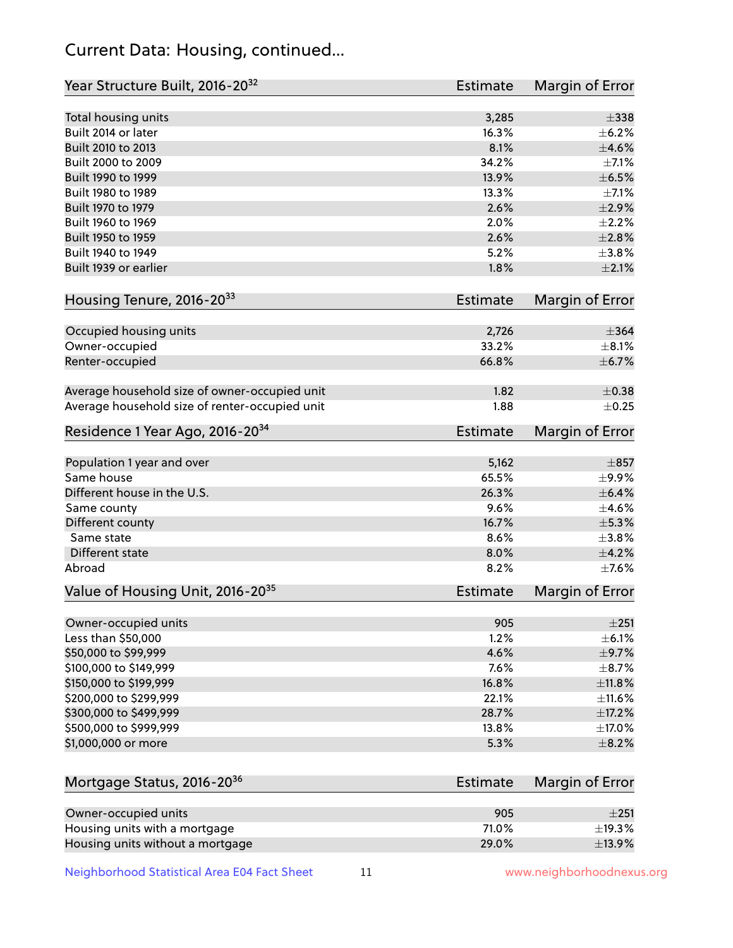# Current Data: Housing, continued...

| Year Structure Built, 2016-20 <sup>32</sup>    | <b>Estimate</b> | <b>Margin of Error</b> |
|------------------------------------------------|-----------------|------------------------|
| Total housing units                            | 3,285           | $\pm$ 338              |
| Built 2014 or later                            | 16.3%           | $\pm$ 6.2%             |
| Built 2010 to 2013                             | 8.1%            | $\pm 4.6\%$            |
| Built 2000 to 2009                             | 34.2%           | $\pm$ 7.1%             |
| Built 1990 to 1999                             | 13.9%           | $\pm$ 6.5%             |
| Built 1980 to 1989                             | 13.3%           | $\pm$ 7.1%             |
| Built 1970 to 1979                             | 2.6%            | $\pm 2.9\%$            |
| Built 1960 to 1969                             | 2.0%            | $\pm 2.2\%$            |
| Built 1950 to 1959                             | 2.6%            | $\pm 2.8\%$            |
| Built 1940 to 1949                             | 5.2%            | $\pm$ 3.8%             |
| Built 1939 or earlier                          | 1.8%            | $\pm 2.1\%$            |
| Housing Tenure, 2016-2033                      | <b>Estimate</b> | Margin of Error        |
| Occupied housing units                         | 2,726           | $\pm$ 364              |
| Owner-occupied                                 | 33.2%           | $\pm$ 8.1%             |
| Renter-occupied                                | 66.8%           | ±6.7%                  |
| Average household size of owner-occupied unit  | 1.82            | $\pm$ 0.38             |
| Average household size of renter-occupied unit | 1.88            | $\pm$ 0.25             |
| Residence 1 Year Ago, 2016-20 <sup>34</sup>    | <b>Estimate</b> | <b>Margin of Error</b> |
| Population 1 year and over                     | 5,162           | $\pm 857$              |
| Same house                                     | 65.5%           | $\pm$ 9.9%             |
| Different house in the U.S.                    | 26.3%           | $\pm$ 6.4%             |
| Same county                                    | 9.6%            | $\pm$ 4.6%             |
| Different county                               | 16.7%           | $\pm$ 5.3%             |
| Same state                                     | 8.6%            | $\pm$ 3.8%             |
| Different state                                | 8.0%            | ±4.2%                  |
| Abroad                                         | 8.2%            | $\pm$ 7.6%             |
| Value of Housing Unit, 2016-20 <sup>35</sup>   | <b>Estimate</b> | Margin of Error        |
| Owner-occupied units                           | 905             | ±251                   |
| Less than \$50,000                             | 1.2%            | $\pm$ 6.1%             |
| \$50,000 to \$99,999                           | 4.6%            | $\pm$ 9.7%             |
| \$100,000 to \$149,999                         | 7.6%            | $\pm$ 8.7%             |
| \$150,000 to \$199,999                         | 16.8%           | ±11.8%                 |
| \$200,000 to \$299,999                         | 22.1%           | ±11.6%                 |
| \$300,000 to \$499,999                         | 28.7%           | $\pm$ 17.2%            |
| \$500,000 to \$999,999                         | 13.8%           | $\pm$ 17.0%            |
| \$1,000,000 or more                            | 5.3%            | $\pm$ 8.2%             |
| Mortgage Status, 2016-20 <sup>36</sup>         | <b>Estimate</b> | Margin of Error        |
| Owner-occupied units                           | 905             | ±251                   |
| Housing units with a mortgage                  | 71.0%           | ±19.3%                 |

Neighborhood Statistical Area E04 Fact Sheet 11 11 www.neighborhoodnexus.org

Housing units without a mortgage  $\pm 13.9\%$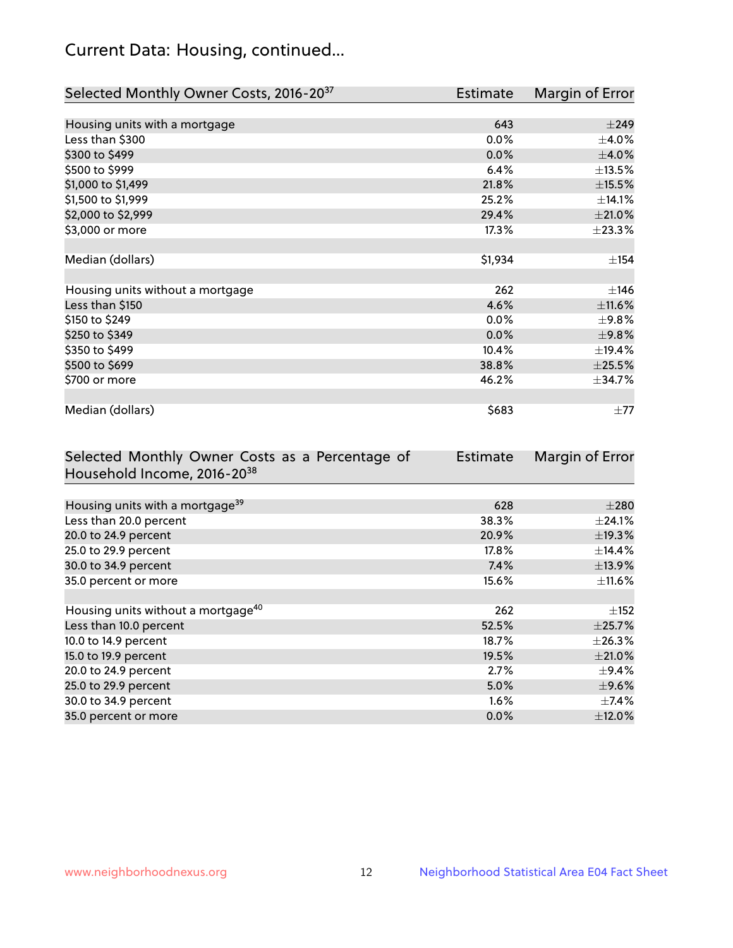# Current Data: Housing, continued...

| Selected Monthly Owner Costs, 2016-20 <sup>37</sup> | <b>Estimate</b> | Margin of Error |
|-----------------------------------------------------|-----------------|-----------------|
|                                                     |                 |                 |
| Housing units with a mortgage                       | 643             | $\pm$ 249       |
| Less than \$300                                     | 0.0%            | $\pm$ 4.0%      |
| \$300 to \$499                                      | 0.0%            | $\pm$ 4.0%      |
| \$500 to \$999                                      | 6.4%            | ±13.5%          |
| \$1,000 to \$1,499                                  | 21.8%           | ±15.5%          |
| \$1,500 to \$1,999                                  | 25.2%           | ±14.1%          |
| \$2,000 to \$2,999                                  | 29.4%           | $\pm 21.0\%$    |
| \$3,000 or more                                     | 17.3%           | ±23.3%          |
|                                                     |                 |                 |
| Median (dollars)                                    | \$1,934         | ±154            |
|                                                     |                 |                 |
| Housing units without a mortgage                    | 262             | $\pm$ 146       |
| Less than \$150                                     | 4.6%            | $\pm$ 11.6%     |
| \$150 to \$249                                      | 0.0%            | $\pm$ 9.8%      |
| \$250 to \$349                                      | 0.0%            | ±9.8%           |
| \$350 to \$499                                      | 10.4%           | ±19.4%          |
| \$500 to \$699                                      | 38.8%           | $\pm 25.5\%$    |
| \$700 or more                                       | 46.2%           | ±34.7%          |
|                                                     |                 |                 |
| Median (dollars)                                    | \$683           | $\pm 77$        |

| Selected Monthly Owner Costs as a Percentage of | Estimate | Margin of Error |
|-------------------------------------------------|----------|-----------------|
| Household Income, 2016-2038                     |          |                 |
|                                                 |          |                 |
| Housing units with a mortgage <sup>39</sup>     | 628      | $\pm 280$       |
| Less than 20.0 percent                          | 38.3%    | $\pm$ 24.1%     |
| 20.0 to 24.9 percent                            | 20.9%    | ±19.3%          |
| 25.0 to 29.9 percent                            | $17.8\%$ | $\pm$ 14.4%     |
| 30.0 to 34.9 percent                            | 7.4%     | ±13.9%          |
| 35.0 percent or more                            | 15.6%    | $\pm$ 11.6%     |
|                                                 |          |                 |
| Housing units without a mortgage <sup>40</sup>  | 262      | $\pm$ 152       |
| Less than 10.0 percent                          | 52.5%    | $\pm$ 25.7%     |
| 10.0 to 14.9 percent                            | 18.7%    | $\pm 26.3\%$    |
| 15.0 to 19.9 percent                            | 19.5%    | $\pm 21.0\%$    |
| 20.0 to 24.9 percent                            | 2.7%     | $\pm$ 9.4%      |
| 25.0 to 29.9 percent                            | 5.0%     | $\pm$ 9.6%      |
| 30.0 to 34.9 percent                            | $1.6\%$  | $\pm$ 7.4%      |
| 35.0 percent or more                            | $0.0\%$  | $\pm$ 12.0%     |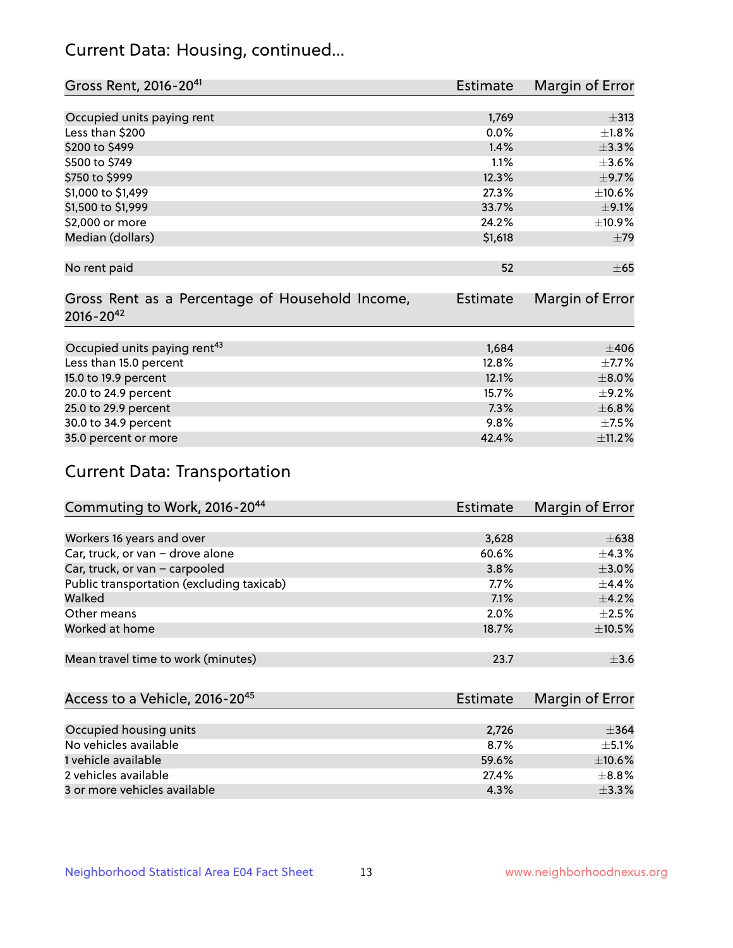# Current Data: Housing, continued...

| Gross Rent, 2016-20 <sup>41</sup>               | <b>Estimate</b> | Margin of Error |
|-------------------------------------------------|-----------------|-----------------|
|                                                 |                 |                 |
| Occupied units paying rent                      | 1,769           | $\pm$ 313       |
| Less than \$200                                 | 0.0%            | $\pm1.8\%$      |
| \$200 to \$499                                  | 1.4%            | ±3.3%           |
| \$500 to \$749                                  | 1.1%            | $\pm 3.6\%$     |
| \$750 to \$999                                  | 12.3%           | $\pm$ 9.7%      |
| \$1,000 to \$1,499                              | 27.3%           | ±10.6%          |
| \$1,500 to \$1,999                              | 33.7%           | $\pm$ 9.1%      |
| \$2,000 or more                                 | 24.2%           | $\pm$ 10.9%     |
| Median (dollars)                                | \$1,618         | ±79             |
|                                                 |                 |                 |
| No rent paid                                    | 52              | $\pm 65$        |
|                                                 |                 |                 |
| Gross Rent as a Percentage of Household Income, | <b>Estimate</b> | Margin of Error |
| $2016 - 20^{42}$                                |                 |                 |
|                                                 |                 |                 |
| Occupied units paying rent <sup>43</sup>        | 1,684           | $\pm 406$       |
| Less than 15.0 percent                          | 12.8%           | $\pm$ 7.7%      |
| 15.0 to 19.9 percent                            | 12.1%           | $\pm 8.0\%$     |
| 20.0 to 24.9 percent                            | 15.7%           | $\pm$ 9.2%      |
| 25.0 to 29.9 percent                            | 7.3%            | ±6.8%           |
| 30.0 to 34.9 percent                            | 9.8%            | $\pm$ 7.5%      |
| 35.0 percent or more                            | 42.4%           | ±11.2%          |

# Current Data: Transportation

| Commuting to Work, 2016-20 <sup>44</sup>  | <b>Estimate</b> | <b>Margin of Error</b> |
|-------------------------------------------|-----------------|------------------------|
|                                           |                 |                        |
| Workers 16 years and over                 | 3,628           | $\pm 638$              |
| Car, truck, or van - drove alone          | 60.6%           | $\pm$ 4.3%             |
| Car, truck, or van - carpooled            | 3.8%            | $\pm 3.0\%$            |
| Public transportation (excluding taxicab) | $7.7\%$         | $\pm$ 4.4%             |
| Walked                                    | 7.1%            | $\pm$ 4.2%             |
| Other means                               | 2.0%            | $\pm 2.5\%$            |
| Worked at home                            | 18.7%           | $\pm$ 10.5%            |
|                                           |                 |                        |
| Mean travel time to work (minutes)        | 23.7            | $\pm$ 3.6              |

| Access to a Vehicle, 2016-20 <sup>45</sup> | Estimate | Margin of Error |
|--------------------------------------------|----------|-----------------|
|                                            |          |                 |
| Occupied housing units                     | 2,726    | $\pm$ 364       |
| No vehicles available                      | 8.7%     | $+5.1%$         |
| 1 vehicle available                        | 59.6%    | $\pm$ 10.6%     |
| 2 vehicles available                       | 27.4%    | $+8.8%$         |
| 3 or more vehicles available               | 4.3%     | $+3.3%$         |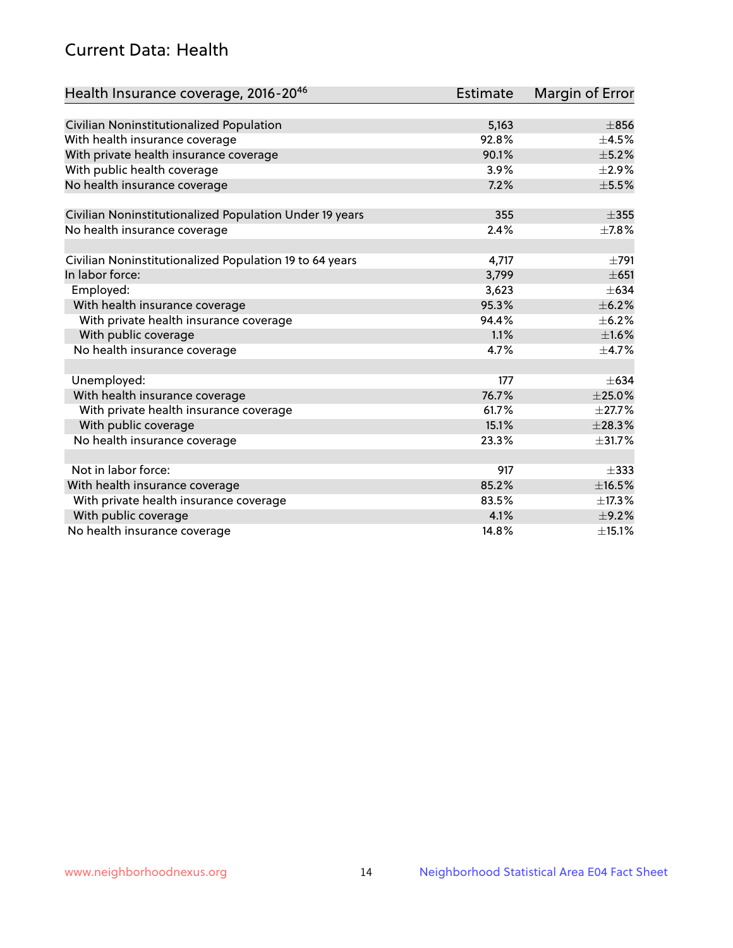# Current Data: Health

| Health Insurance coverage, 2016-2046                    | <b>Estimate</b> | Margin of Error |
|---------------------------------------------------------|-----------------|-----------------|
|                                                         |                 |                 |
| Civilian Noninstitutionalized Population                | 5,163           | $\pm$ 856       |
| With health insurance coverage                          | 92.8%           | $\pm$ 4.5%      |
| With private health insurance coverage                  | 90.1%           | $\pm$ 5.2%      |
| With public health coverage                             | 3.9%            | $\pm 2.9\%$     |
| No health insurance coverage                            | 7.2%            | $\pm$ 5.5%      |
| Civilian Noninstitutionalized Population Under 19 years | 355             | $\pm$ 355       |
| No health insurance coverage                            | 2.4%            | $\pm$ 7.8%      |
|                                                         |                 |                 |
| Civilian Noninstitutionalized Population 19 to 64 years | 4,717           | $\pm 791$       |
| In labor force:                                         | 3,799           | $\pm 651$       |
| Employed:                                               | 3,623           | $\pm 634$       |
| With health insurance coverage                          | 95.3%           | $\pm$ 6.2%      |
| With private health insurance coverage                  | 94.4%           | $\pm$ 6.2%      |
| With public coverage                                    | 1.1%            | $\pm1.6\%$      |
| No health insurance coverage                            | 4.7%            | $\pm$ 4.7%      |
|                                                         |                 |                 |
| Unemployed:                                             | 177             | $+634$          |
| With health insurance coverage                          | 76.7%           | $\pm 25.0\%$    |
| With private health insurance coverage                  | 61.7%           | $\pm$ 27.7%     |
| With public coverage                                    | 15.1%           | ±28.3%          |
| No health insurance coverage                            | 23.3%           | ±31.7%          |
| Not in labor force:                                     | 917             | $\pm$ 333       |
| With health insurance coverage                          | 85.2%           | $\pm$ 16.5%     |
| With private health insurance coverage                  | 83.5%           | ±17.3%          |
| With public coverage                                    | 4.1%            | $\pm$ 9.2%      |
| No health insurance coverage                            | 14.8%           | ±15.1%          |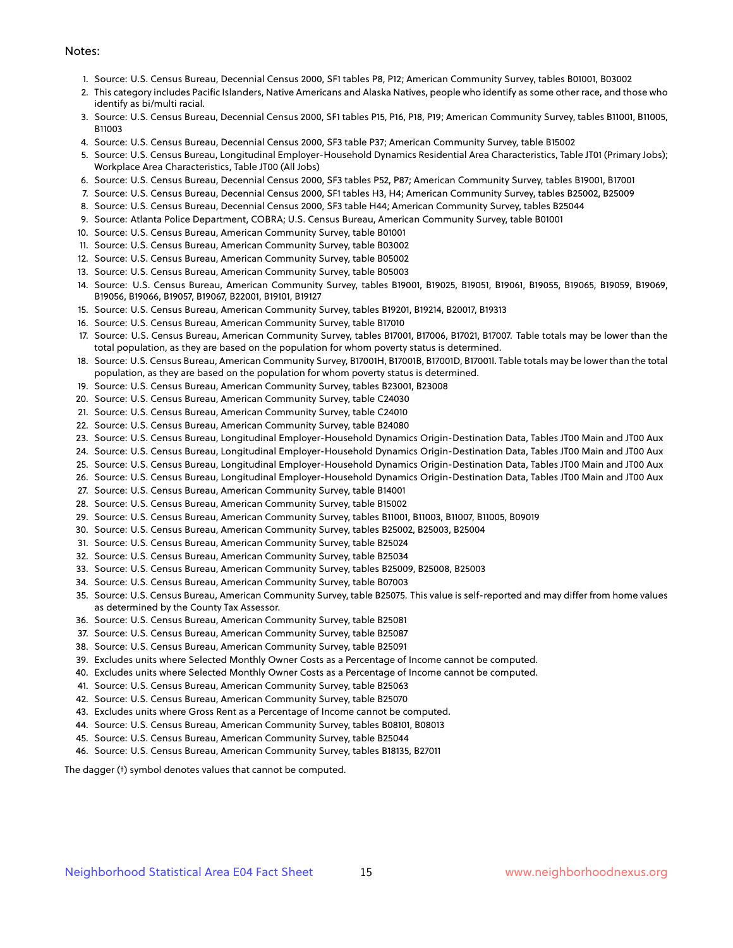#### Notes:

- 1. Source: U.S. Census Bureau, Decennial Census 2000, SF1 tables P8, P12; American Community Survey, tables B01001, B03002
- 2. This category includes Pacific Islanders, Native Americans and Alaska Natives, people who identify as some other race, and those who identify as bi/multi racial.
- 3. Source: U.S. Census Bureau, Decennial Census 2000, SF1 tables P15, P16, P18, P19; American Community Survey, tables B11001, B11005, B11003
- 4. Source: U.S. Census Bureau, Decennial Census 2000, SF3 table P37; American Community Survey, table B15002
- 5. Source: U.S. Census Bureau, Longitudinal Employer-Household Dynamics Residential Area Characteristics, Table JT01 (Primary Jobs); Workplace Area Characteristics, Table JT00 (All Jobs)
- 6. Source: U.S. Census Bureau, Decennial Census 2000, SF3 tables P52, P87; American Community Survey, tables B19001, B17001
- 7. Source: U.S. Census Bureau, Decennial Census 2000, SF1 tables H3, H4; American Community Survey, tables B25002, B25009
- 8. Source: U.S. Census Bureau, Decennial Census 2000, SF3 table H44; American Community Survey, tables B25044
- 9. Source: Atlanta Police Department, COBRA; U.S. Census Bureau, American Community Survey, table B01001
- 10. Source: U.S. Census Bureau, American Community Survey, table B01001
- 11. Source: U.S. Census Bureau, American Community Survey, table B03002
- 12. Source: U.S. Census Bureau, American Community Survey, table B05002
- 13. Source: U.S. Census Bureau, American Community Survey, table B05003
- 14. Source: U.S. Census Bureau, American Community Survey, tables B19001, B19025, B19051, B19061, B19055, B19065, B19059, B19069, B19056, B19066, B19057, B19067, B22001, B19101, B19127
- 15. Source: U.S. Census Bureau, American Community Survey, tables B19201, B19214, B20017, B19313
- 16. Source: U.S. Census Bureau, American Community Survey, table B17010
- 17. Source: U.S. Census Bureau, American Community Survey, tables B17001, B17006, B17021, B17007. Table totals may be lower than the total population, as they are based on the population for whom poverty status is determined.
- 18. Source: U.S. Census Bureau, American Community Survey, B17001H, B17001B, B17001D, B17001I. Table totals may be lower than the total population, as they are based on the population for whom poverty status is determined.
- 19. Source: U.S. Census Bureau, American Community Survey, tables B23001, B23008
- 20. Source: U.S. Census Bureau, American Community Survey, table C24030
- 21. Source: U.S. Census Bureau, American Community Survey, table C24010
- 22. Source: U.S. Census Bureau, American Community Survey, table B24080
- 23. Source: U.S. Census Bureau, Longitudinal Employer-Household Dynamics Origin-Destination Data, Tables JT00 Main and JT00 Aux
- 24. Source: U.S. Census Bureau, Longitudinal Employer-Household Dynamics Origin-Destination Data, Tables JT00 Main and JT00 Aux
- 25. Source: U.S. Census Bureau, Longitudinal Employer-Household Dynamics Origin-Destination Data, Tables JT00 Main and JT00 Aux
- 26. Source: U.S. Census Bureau, Longitudinal Employer-Household Dynamics Origin-Destination Data, Tables JT00 Main and JT00 Aux
- 27. Source: U.S. Census Bureau, American Community Survey, table B14001
- 28. Source: U.S. Census Bureau, American Community Survey, table B15002
- 29. Source: U.S. Census Bureau, American Community Survey, tables B11001, B11003, B11007, B11005, B09019
- 30. Source: U.S. Census Bureau, American Community Survey, tables B25002, B25003, B25004
- 31. Source: U.S. Census Bureau, American Community Survey, table B25024
- 32. Source: U.S. Census Bureau, American Community Survey, table B25034
- 33. Source: U.S. Census Bureau, American Community Survey, tables B25009, B25008, B25003
- 34. Source: U.S. Census Bureau, American Community Survey, table B07003
- 35. Source: U.S. Census Bureau, American Community Survey, table B25075. This value is self-reported and may differ from home values as determined by the County Tax Assessor.
- 36. Source: U.S. Census Bureau, American Community Survey, table B25081
- 37. Source: U.S. Census Bureau, American Community Survey, table B25087
- 38. Source: U.S. Census Bureau, American Community Survey, table B25091
- 39. Excludes units where Selected Monthly Owner Costs as a Percentage of Income cannot be computed.
- 40. Excludes units where Selected Monthly Owner Costs as a Percentage of Income cannot be computed.
- 41. Source: U.S. Census Bureau, American Community Survey, table B25063
- 42. Source: U.S. Census Bureau, American Community Survey, table B25070
- 43. Excludes units where Gross Rent as a Percentage of Income cannot be computed.
- 44. Source: U.S. Census Bureau, American Community Survey, tables B08101, B08013
- 45. Source: U.S. Census Bureau, American Community Survey, table B25044
- 46. Source: U.S. Census Bureau, American Community Survey, tables B18135, B27011

The dagger (†) symbol denotes values that cannot be computed.